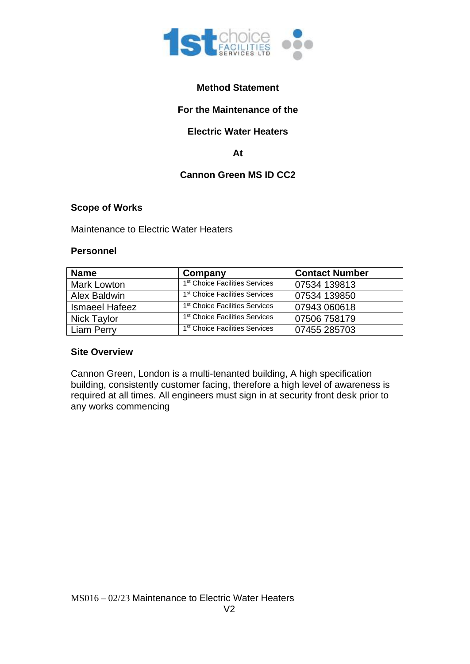

## **Method Statement**

## **For the Maintenance of the**

### **Electric Water Heaters**

**At**

## **Cannon Green MS ID CC2**

#### **Scope of Works**

Maintenance to Electric Water Heaters

#### **Personnel**

| <b>Name</b>           | Company                                    | <b>Contact Number</b> |
|-----------------------|--------------------------------------------|-----------------------|
| Mark Lowton           | 1 <sup>st</sup> Choice Facilities Services | 07534 139813          |
| Alex Baldwin          | 1 <sup>st</sup> Choice Facilities Services | 07534 139850          |
| <b>Ismaeel Hafeez</b> | 1 <sup>st</sup> Choice Facilities Services | 07943 060618          |
| <b>Nick Taylor</b>    | 1 <sup>st</sup> Choice Facilities Services | 07506 758179          |
| Liam Perry            | 1 <sup>st</sup> Choice Facilities Services | 07455 285703          |

#### **Site Overview**

Cannon Green, London is a multi-tenanted building, A high specification building, consistently customer facing, therefore a high level of awareness is required at all times. All engineers must sign in at security front desk prior to any works commencing